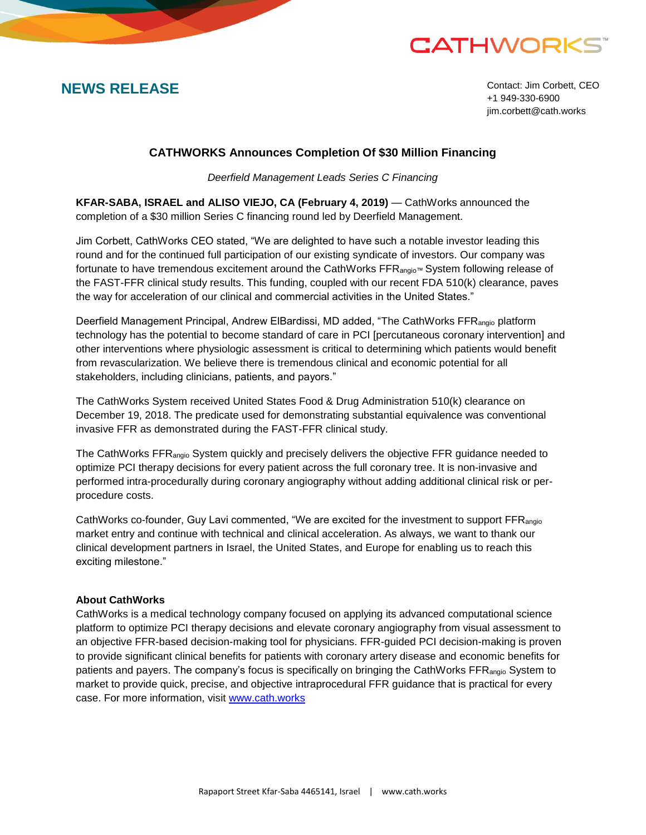# **CATHWORKS**

**NEWS RELEASE** Contact: Jim Corbett, CEO +1 949-330-6900 jim.corbett@cath.works

## **CATHWORKS Announces Completion Of \$30 Million Financing**

*Deerfield Management Leads Series C Financing*

**KFAR-SABA, ISRAEL and ALISO VIEJO, CA (February 4, 2019)** — CathWorks announced the completion of a \$30 million Series C financing round led by Deerfield Management.

Jim Corbett, CathWorks CEO stated, "We are delighted to have such a notable investor leading this round and for the continued full participation of our existing syndicate of investors. Our company was fortunate to have tremendous excitement around the CathWorks FFR<sub>angio™</sub> System following release of the FAST-FFR clinical study results. This funding, coupled with our recent FDA 510(k) clearance, paves the way for acceleration of our clinical and commercial activities in the United States."

Deerfield Management Principal, Andrew ElBardissi, MD added, "The CathWorks FFR<sub>angio</sub> platform technology has the potential to become standard of care in PCI [percutaneous coronary intervention] and other interventions where physiologic assessment is critical to determining which patients would benefit from revascularization. We believe there is tremendous clinical and economic potential for all stakeholders, including clinicians, patients, and payors."

The CathWorks System received United States Food & Drug Administration 510(k) clearance on December 19, 2018. The predicate used for demonstrating substantial equivalence was conventional invasive FFR as demonstrated during the FAST-FFR clinical study.

The CathWorks FFRangio System quickly and precisely delivers the objective FFR guidance needed to optimize PCI therapy decisions for every patient across the full coronary tree. It is non-invasive and performed intra-procedurally during coronary angiography without adding additional clinical risk or perprocedure costs.

CathWorks co-founder, Guy Lavi commented, "We are excited for the investment to support FFR<sub>angio</sub> market entry and continue with technical and clinical acceleration. As always, we want to thank our clinical development partners in Israel, the United States, and Europe for enabling us to reach this exciting milestone."

### **About CathWorks**

CathWorks is a medical technology company focused on applying its advanced computational science platform to optimize PCI therapy decisions and elevate coronary angiography from visual assessment to an objective FFR-based decision-making tool for physicians. FFR-guided PCI decision-making is proven to provide significant clinical benefits for patients with coronary artery disease and economic benefits for patients and payers. The company's focus is specifically on bringing the CathWorks FFRangio System to market to provide quick, precise, and objective intraprocedural FFR guidance that is practical for every case. For more information, visit [www.cath.works](http://www.cath.works/)